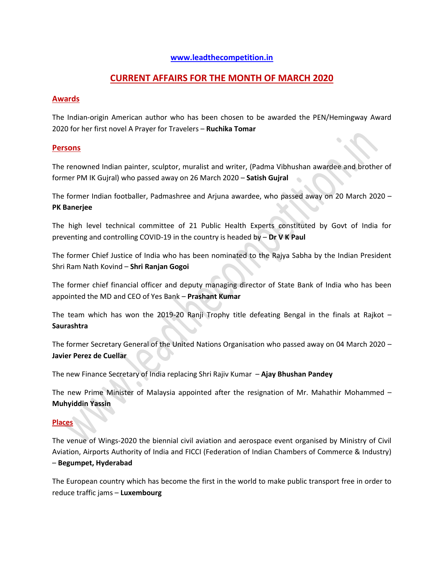#### **[www.leadthecompetition.in](http://www.leadthecompetition.in/)**

# **CURRENT AFFAIRS FOR THE MONTH OF MARCH 2020**

#### **Awards**

The Indian-origin American author who has been chosen to be awarded the PEN/Hemingway Award 2020 for her first novel A Prayer for Travelers – **Ruchika Tomar**

#### **Persons**

The renowned Indian painter, sculptor, muralist and writer, (Padma Vibhushan awardee and brother of former PM IK Gujral) who passed away on 26 March 2020 – **Satish Gujral**

The former Indian footballer, Padmashree and Arjuna awardee, who passed away on 20 March 2020 – **PK Banerjee**

The high level technical committee of 21 Public Health Experts constituted by Govt of India for preventing and controlling COVID-19 in the country is headed by – **Dr V K Paul**

The former Chief Justice of India who has been nominated to the Rajya Sabha by the Indian President Shri Ram Nath Kovind – **Shri Ranjan Gogoi**

The former chief financial officer and deputy managing director of State Bank of India who has been appointed the MD and CEO of Yes Bank – **Prashant Kumar**

The team which has won the 2019-20 Ranji Trophy title defeating Bengal in the finals at Rajkot – **Saurashtra**

The former Secretary General of the United Nations Organisation who passed away on 04 March 2020 – **Javier Perez de Cuellar**

The new Finance Secretary of India replacing Shri Rajiv Kumar – **Ajay Bhushan Pandey**

The new Prime Minister of Malaysia appointed after the resignation of Mr. Mahathir Mohammed – **Muhyiddin Yassin**

## **Places**

The venue of Wings-2020 the biennial civil aviation and aerospace event organised by Ministry of Civil Aviation, Airports Authority of India and FICCI (Federation of Indian Chambers of Commerce & Industry) – **Begumpet, Hyderabad**

The European country which has become the first in the world to make public transport free in order to reduce traffic jams – **Luxembourg**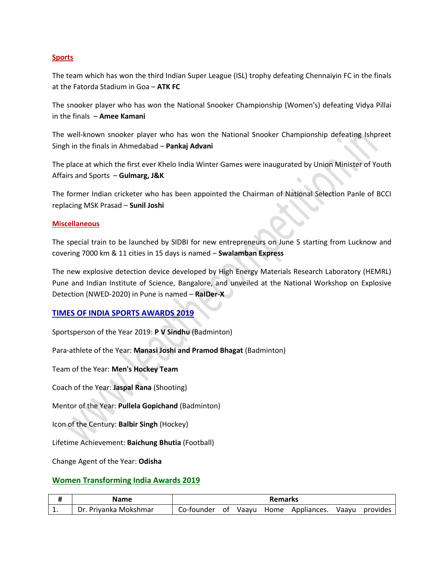#### **Sports**

The team which has won the third Indian Super League (ISL) trophy defeating Chennaiyin FC in the finals at the Fatorda Stadium in Goa – **ATK FC**

The snooker player who has won the National Snooker Championship (Women's) defeating Vidya Pillai in the finals – **Amee Kamani**

The well-known snooker player who has won the National Snooker Championship defeating Ishpreet Singh in the finals in Ahmedabad – **Pankaj Advani**

The place at which the first ever Khelo India Winter Games were inaugurated by Union Minister of Youth Affairs and Sports – **Gulmarg, J&K**

The former Indian cricketer who has been appointed the Chairman of National Selection Panle of BCCI replacing MSK Prasad – **Sunil Joshi**

#### **Miscellaneous**

The special train to be launched by SIDBI for new entrepreneurs on June 5 starting from Lucknow and covering 7000 km & 11 cities in 15 days is named – **Swalamban Express**

The new explosive detection device developed by High Energy Materials Research Laboratory (HEMRL) Pune and Indian Institute of Science, Bangalore, and unveiled at the National Workshop on Explosive Detection (NWED-2020) in Pune is named – **RaIDer-X**

#### **TIMES OF INDIA SPORTS AWARDS 2019**

Sportsperson of the Year 2019: **P V Sindhu** (Badminton)

Para-athlete of the Year: **Manasi Joshi and Pramod Bhagat** (Badminton)

Team of the Year: **Men's Hockey Team**

Coach of the Year: **Jaspal Rana** (Shooting)

Mentor of the Year: **Pullela Gopichand** (Badminton)

Icon of the Century: **Balbir Singh** (Hockey)

Lifetime Achievement: **Baichung Bhutia** (Football)

Change Agent of the Year: **Odisha**

#### **Women Transforming India Awards 2019**

|     | Name                       | <b>Remarks</b> |    |       |      |             |       |          |
|-----|----------------------------|----------------|----|-------|------|-------------|-------|----------|
| . . | . Privanka Mokshmar<br>Dr. | Co-founder     | 0t | Vaavu | Home | Appliances. | Vaayu | provides |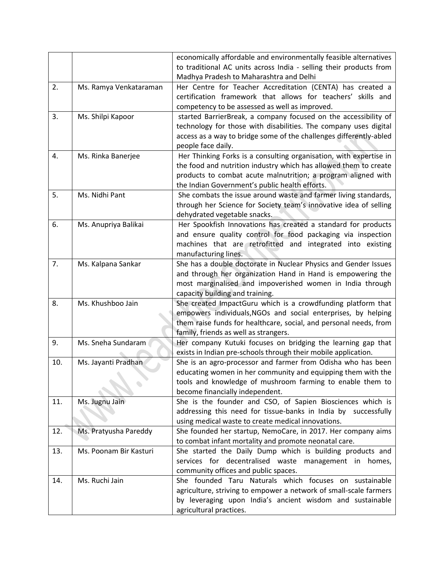|     |                        | economically affordable and environmentally feasible alternatives  |  |  |
|-----|------------------------|--------------------------------------------------------------------|--|--|
|     |                        | to traditional AC units across India - selling their products from |  |  |
|     |                        | Madhya Pradesh to Maharashtra and Delhi                            |  |  |
| 2.  | Ms. Ramya Venkataraman | Her Centre for Teacher Accreditation (CENTA) has created a         |  |  |
|     |                        | certification framework that allows for teachers' skills and       |  |  |
|     |                        | competency to be assessed as well as improved.                     |  |  |
| 3.  | Ms. Shilpi Kapoor      | started BarrierBreak, a company focused on the accessibility of    |  |  |
|     |                        | technology for those with disabilities. The company uses digital   |  |  |
|     |                        | access as a way to bridge some of the challenges differently-abled |  |  |
|     |                        | people face daily.                                                 |  |  |
| 4.  | Ms. Rinka Banerjee     | Her Thinking Forks is a consulting organisation, with expertise in |  |  |
|     |                        | the food and nutrition industry which has allowed them to create   |  |  |
|     |                        | products to combat acute malnutrition; a program aligned with      |  |  |
|     |                        | the Indian Government's public health efforts.                     |  |  |
| 5.  | Ms. Nidhi Pant         | She combats the issue around waste and farmer living standards,    |  |  |
|     |                        | through her Science for Society team's innovative idea of selling  |  |  |
|     |                        | dehydrated vegetable snacks.                                       |  |  |
| 6.  | Ms. Anupriya Balikai   | Her Spookfish Innovations has created a standard for products      |  |  |
|     |                        | and ensure quality control for food packaging via inspection       |  |  |
|     |                        | machines that are retrofitted and integrated into existing         |  |  |
|     |                        | manufacturing lines.                                               |  |  |
| 7.  | Ms. Kalpana Sankar     | She has a double doctorate in Nuclear Physics and Gender Issues    |  |  |
|     |                        | and through her organization Hand in Hand is empowering the        |  |  |
|     |                        | most marginalised and impoverished women in India through          |  |  |
|     |                        | capacity building and training.                                    |  |  |
| 8.  | Ms. Khushboo Jain      | She created ImpactGuru which is a crowdfunding platform that       |  |  |
|     |                        | empowers individuals, NGOs and social enterprises, by helping      |  |  |
|     |                        | them raise funds for healthcare, social, and personal needs, from  |  |  |
|     |                        | family, friends as well as strangers.                              |  |  |
| 9.  | Ms. Sneha Sundaram     | Her company Kutuki focuses on bridging the learning gap that       |  |  |
|     |                        | exists in Indian pre-schools through their mobile application.     |  |  |
| 10. | Ms. Jayanti Pradhan    | She is an agro-processor and farmer from Odisha who has been       |  |  |
|     |                        | educating women in her community and equipping them with the       |  |  |
|     |                        | tools and knowledge of mushroom farming to enable them to          |  |  |
|     |                        | become financially independent.                                    |  |  |
| 11. | Ms. Jugnu Jain         | She is the founder and CSO, of Sapien Biosciences which is         |  |  |
|     |                        | addressing this need for tissue-banks in India by successfully     |  |  |
|     |                        | using medical waste to create medical innovations.                 |  |  |
| 12. | Ms. Pratyusha Pareddy  | She founded her startup, NemoCare, in 2017. Her company aims       |  |  |
|     |                        | to combat infant mortality and promote neonatal care.              |  |  |
| 13. | Ms. Poonam Bir Kasturi | She started the Daily Dump which is building products and          |  |  |
|     |                        | services for decentralised waste management in homes,              |  |  |
|     |                        | community offices and public spaces.                               |  |  |
| 14. | Ms. Ruchi Jain         | She founded Taru Naturals which focuses on sustainable             |  |  |
|     |                        | agriculture, striving to empower a network of small-scale farmers  |  |  |
|     |                        | by leveraging upon India's ancient wisdom and sustainable          |  |  |
|     |                        | agricultural practices.                                            |  |  |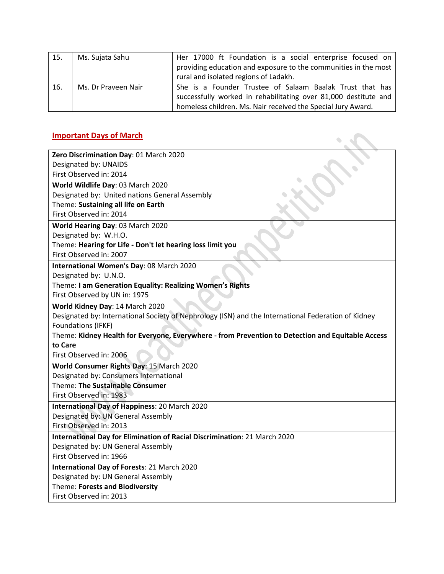| 15. | Ms. Sujata Sahu     | Her 17000 ft Foundation is a social enterprise focused on       |
|-----|---------------------|-----------------------------------------------------------------|
|     |                     | providing education and exposure to the communities in the most |
|     |                     | rural and isolated regions of Ladakh.                           |
| 16. | Ms. Dr Praveen Nair | She is a Founder Trustee of Salaam Baalak Trust that has        |
|     |                     | successfully worked in rehabilitating over 81,000 destitute and |
|     |                     | homeless children. Ms. Nair received the Special Jury Award.    |

# **Important Days of March**

| <b>Important Days of March</b>                                                                      |
|-----------------------------------------------------------------------------------------------------|
| Zero Discrimination Day: 01 March 2020                                                              |
| Designated by: UNAIDS                                                                               |
| First Observed in: 2014                                                                             |
| World Wildlife Day: 03 March 2020                                                                   |
| Designated by: United nations General Assembly                                                      |
| Theme: Sustaining all life on Earth                                                                 |
| First Observed in: 2014                                                                             |
| World Hearing Day: 03 March 2020                                                                    |
| Designated by: W.H.O.                                                                               |
| Theme: Hearing for Life - Don't let hearing loss limit you                                          |
| First Observed in: 2007                                                                             |
| International Women's Day: 08 March 2020                                                            |
| Designated by: U.N.O.                                                                               |
| Theme: I am Generation Equality: Realizing Women's Rights                                           |
| First Observed by UN in: 1975                                                                       |
| World Kidney Day: 14 March 2020                                                                     |
| Designated by: International Society of Nephrology (ISN) and the International Federation of Kidney |
| Foundations (IFKF)                                                                                  |
| Theme: Kidney Health for Everyone, Everywhere - from Prevention to Detection and Equitable Access   |
| to Care                                                                                             |
| First Observed in: 2006                                                                             |
| World Consumer Rights Day: 15 March 2020                                                            |
| Designated by: Consumers International                                                              |
| Theme: The Sustainable Consumer                                                                     |
| First Observed in: 1983                                                                             |
| International Day of Happiness: 20 March 2020                                                       |
| Designated by: UN General Assembly                                                                  |
| First Observed in: 2013                                                                             |
| International Day for Elimination of Racial Discrimination: 21 March 2020                           |
| Designated by: UN General Assembly                                                                  |
| First Observed in: 1966                                                                             |
| <b>International Day of Forests: 21 March 2020</b>                                                  |
| Designated by: UN General Assembly                                                                  |
| Theme: Forests and Biodiversity                                                                     |
| First Observed in: 2013                                                                             |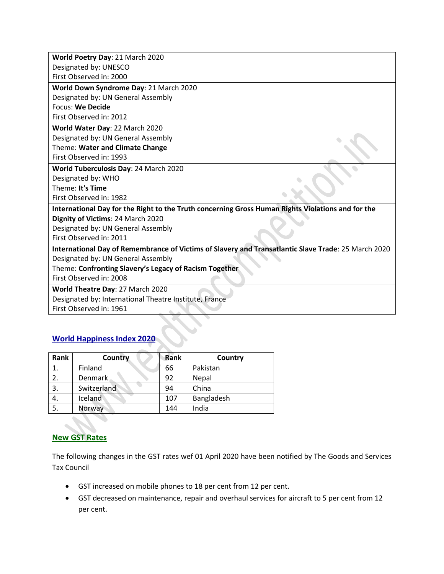| World Poetry Day: 21 March 2020                                                                     |
|-----------------------------------------------------------------------------------------------------|
| Designated by: UNESCO                                                                               |
| First Observed in: 2000                                                                             |
| World Down Syndrome Day: 21 March 2020                                                              |
| Designated by: UN General Assembly                                                                  |
| <b>Focus: We Decide</b>                                                                             |
| First Observed in: 2012                                                                             |
| World Water Day: 22 March 2020                                                                      |
| Designated by: UN General Assembly                                                                  |
| Theme: Water and Climate Change                                                                     |
| First Observed in: 1993                                                                             |
| World Tuberculosis Day: 24 March 2020                                                               |
| Designated by: WHO                                                                                  |
| Theme: It's Time                                                                                    |
| First Observed in: 1982                                                                             |
| International Day for the Right to the Truth concerning Gross Human Rights Violations and for the   |
| Dignity of Victims: 24 March 2020                                                                   |
| Designated by: UN General Assembly                                                                  |
| First Observed in: 2011                                                                             |
| International Day of Remembrance of Victims of Slavery and Transatlantic Slave Trade: 25 March 2020 |
| Designated by: UN General Assembly                                                                  |
| Theme: Confronting Slavery's Legacy of Racism Together                                              |
| First Observed in: 2008                                                                             |
| World Theatre Day: 27 March 2020                                                                    |
| Designated by: International Theatre Institute, France                                              |
| First Observed in: 1961                                                                             |

# **World Happiness Index 202**

| Rank | Country     | Rank | Country    |
|------|-------------|------|------------|
|      | Finland     | 66   | Pakistan   |
|      | Denmark     | 92   | Nepal      |
| 3.   | Switzerland | 94   | China      |
| 4.   | Iceland     | 107  | Bangladesh |
| 5.   | Norway      | 144  | India      |

# **New GST Rates**

The following changes in the GST rates wef 01 April 2020 have been notified by The Goods and Services Tax Council

- GST increased on mobile phones to 18 per cent from 12 per cent.
- GST decreased on maintenance, repair and overhaul services for aircraft to 5 per cent from 12 per cent.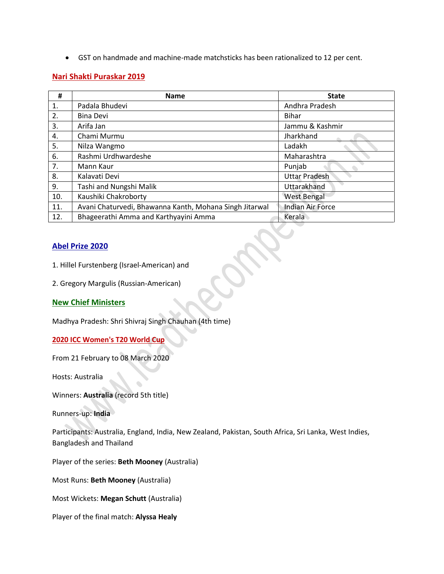GST on handmade and machine-made matchsticks has been rationalized to 12 per cent.

## **Nari Shakti Puraskar 2019**

| #   | <b>Name</b>                                             | <b>State</b>            |
|-----|---------------------------------------------------------|-------------------------|
| 1.  | Padala Bhudevi                                          | Andhra Pradesh          |
| 2.  | <b>Bina Devi</b>                                        | <b>Bihar</b>            |
| 3.  | Arifa Jan                                               | Jammu & Kashmir         |
| 4.  | Chami Murmu                                             | Jharkhand               |
| 5.  | Nilza Wangmo                                            | Ladakh                  |
| 6.  | Rashmi Urdhwardeshe                                     | Maharashtra             |
| 7.  | Mann Kaur                                               | Punjab                  |
| 8.  | Kalavati Devi                                           | <b>Uttar Pradesh</b>    |
| 9.  | Tashi and Nungshi Malik                                 | Uttarakhand             |
| 10. | Kaushiki Chakroborty                                    | <b>West Bengal</b>      |
| 11. | Avani Chaturvedi, Bhawanna Kanth, Mohana Singh Jitarwal | <b>Indian Air Force</b> |
| 12. | Bhageerathi Amma and Karthyayini Amma                   | Kerala                  |

## **Abel Prize 2020**

- 1. Hillel Furstenberg (Israel-American) and
- 2. Gregory Margulis (Russian-American)

## **New Chief Ministers**

Madhya Pradesh: Shri Shivraj Singh Chauhan (4th time)

### **2020 ICC Women's T20 World Cup**

From 21 February to 08 March 2020

Hosts: Australia

Winners: **Australia** (record 5th title)

Runners-up: **India**

Participants: Australia, England, India, New Zealand, Pakistan, South Africa, Sri Lanka, West Indies, Bangladesh and Thailand

Player of the series: **Beth Mooney** (Australia)

Most Runs: **Beth Mooney** (Australia)

Most Wickets: **Megan Schutt** (Australia)

Player of the final match: **Alyssa Healy**